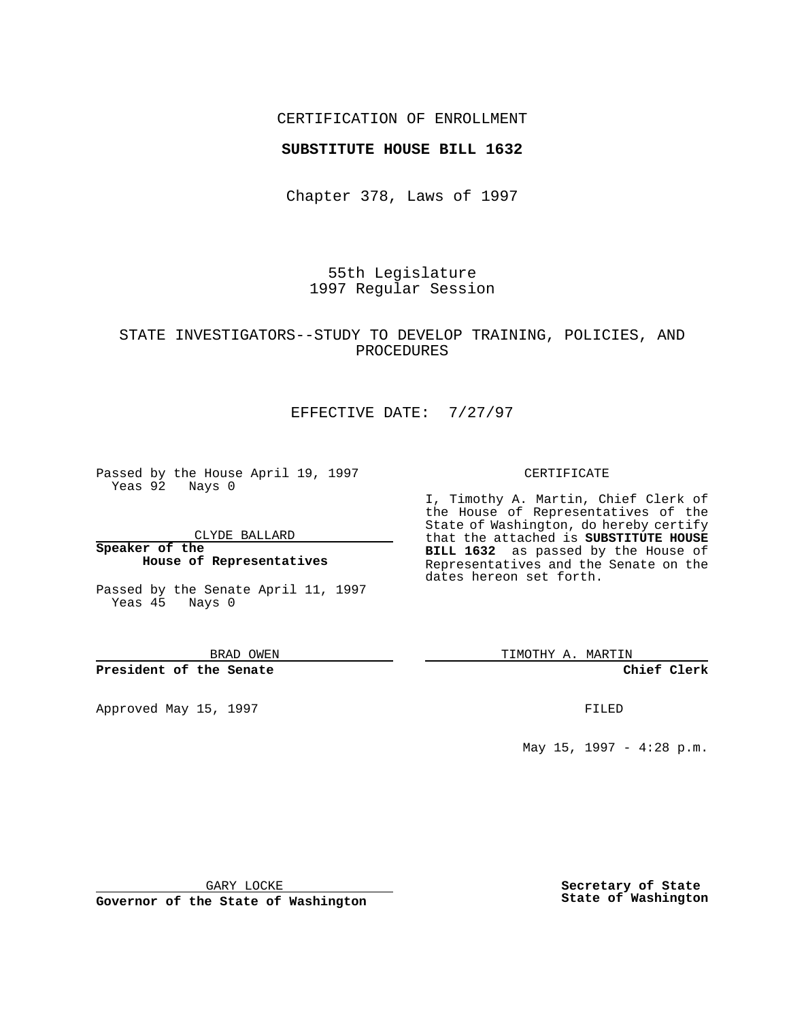## CERTIFICATION OF ENROLLMENT

### **SUBSTITUTE HOUSE BILL 1632**

Chapter 378, Laws of 1997

55th Legislature 1997 Regular Session

# STATE INVESTIGATORS--STUDY TO DEVELOP TRAINING, POLICIES, AND PROCEDURES

# EFFECTIVE DATE: 7/27/97

Passed by the House April 19, 1997 Yeas 92 Nays 0

CLYDE BALLARD

**Speaker of the House of Representatives**

Passed by the Senate April 11, 1997 Yeas 45 Nays 0

BRAD OWEN

### **President of the Senate**

Approved May 15, 1997 **FILED** 

#### CERTIFICATE

I, Timothy A. Martin, Chief Clerk of the House of Representatives of the State of Washington, do hereby certify that the attached is **SUBSTITUTE HOUSE BILL 1632** as passed by the House of Representatives and the Senate on the dates hereon set forth.

TIMOTHY A. MARTIN

#### **Chief Clerk**

May 15, 1997 - 4:28 p.m.

GARY LOCKE

**Governor of the State of Washington**

**Secretary of State State of Washington**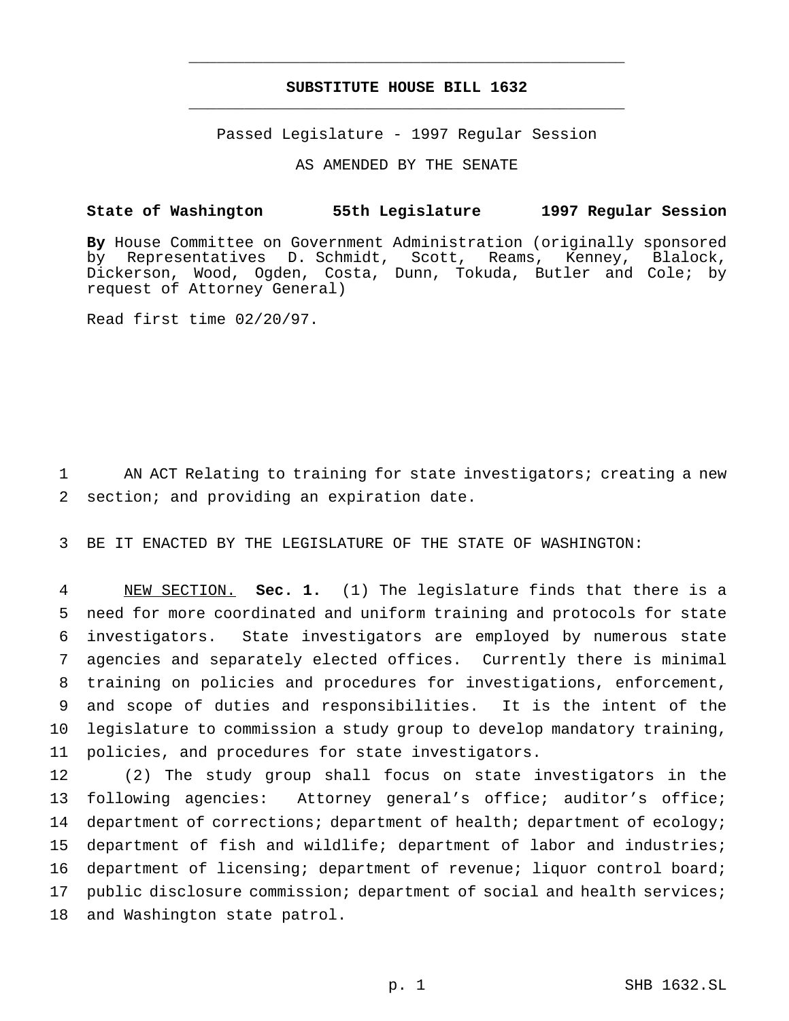# **SUBSTITUTE HOUSE BILL 1632** \_\_\_\_\_\_\_\_\_\_\_\_\_\_\_\_\_\_\_\_\_\_\_\_\_\_\_\_\_\_\_\_\_\_\_\_\_\_\_\_\_\_\_\_\_\_\_

\_\_\_\_\_\_\_\_\_\_\_\_\_\_\_\_\_\_\_\_\_\_\_\_\_\_\_\_\_\_\_\_\_\_\_\_\_\_\_\_\_\_\_\_\_\_\_

Passed Legislature - 1997 Regular Session

AS AMENDED BY THE SENATE

### **State of Washington 55th Legislature 1997 Regular Session**

**By** House Committee on Government Administration (originally sponsored by Representatives D. Schmidt, Scott, Reams, Kenney, Blalock, Dickerson, Wood, Ogden, Costa, Dunn, Tokuda, Butler and Cole; by request of Attorney General)

Read first time 02/20/97.

1 AN ACT Relating to training for state investigators; creating a new 2 section; and providing an expiration date.

3 BE IT ENACTED BY THE LEGISLATURE OF THE STATE OF WASHINGTON:

 NEW SECTION. **Sec. 1.** (1) The legislature finds that there is a need for more coordinated and uniform training and protocols for state investigators. State investigators are employed by numerous state agencies and separately elected offices. Currently there is minimal training on policies and procedures for investigations, enforcement, and scope of duties and responsibilities. It is the intent of the legislature to commission a study group to develop mandatory training, policies, and procedures for state investigators.

 (2) The study group shall focus on state investigators in the following agencies: Attorney general's office; auditor's office; 14 department of corrections; department of health; department of ecology; department of fish and wildlife; department of labor and industries; department of licensing; department of revenue; liquor control board; 17 public disclosure commission; department of social and health services; and Washington state patrol.